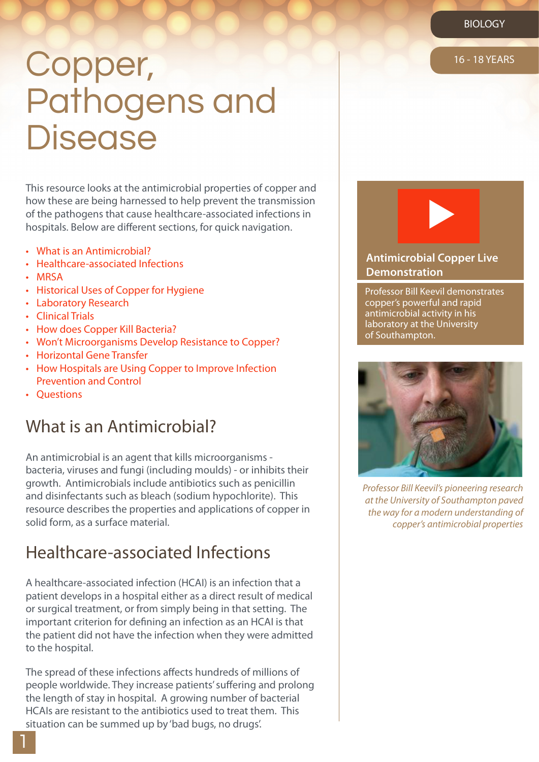# Copper, 16-18 YEARS Pathogens and **Disease**

This resource looks at the antimicrobial properties of copper and how these are being harnessed to help prevent the transmission of the pathogens that cause healthcare-associated infections in hospitals. Below are different sections, for quick navigation.

- • What is an Antimicrobial?
- Healthcare-associated Infections
- • MRSA
- • Historical Uses of Copper for Hygiene
- • Laboratory Research
- Clinical Trials
- How does Copper Kill Bacteria?
- Won't Microorganisms Develop Resistance to Copper?
- • Horizontal Gene Transfer
- How Hospitals are Using Copper to Improve Infection Prevention and Control
- Questions

#### What is an Antimicrobial?

An antimicrobial is an agent that kills microorganisms bacteria, viruses and fungi (including moulds) - or inhibits their growth. Antimicrobials include antibiotics such as penicillin and disinfectants such as bleach (sodium hypochlorite). This resource describes the properties and applications of copper in solid form, as a surface material.

#### Healthcare-associated Infections

A healthcare-associated infection (HCAI) is an infection that a patient develops in a hospital either as a direct result of medical or surgical treatment, or from simply being in that setting. The important criterion for defining an infection as an HCAI is that the patient did not have the infection when they were admitted to the hospital.

The spread of these infections affects hundreds of millions of people worldwide. They increase patients' suffering and prolong the length of stay in hospital. A growing number of bacterial HCAIs are resistant to the antibiotics used to treat them. This situation can be summed up by 'bad bugs, no drugs'.



#### **[Antimicrobial Copper Live](httpswww.youtube.comwatchv=pGtEtXZgmpU) Demonstration**

Professor Bill Keevil demonstrates copper's powerful and rapid antimicrobial activity in his laboratory at the University of Southampton.



*Professor Bill Keevil's pioneering research at the University of Southampton paved the way for a modern understanding of copper's antimicrobial properties*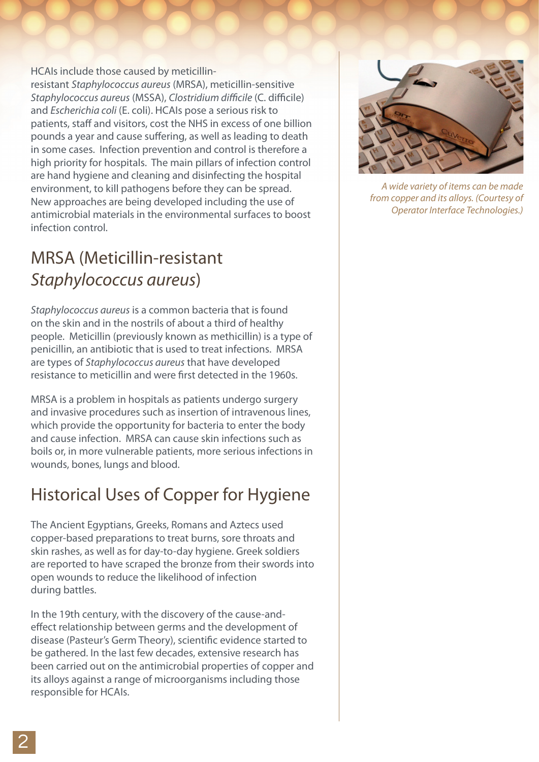HCAIs include those caused by meticillinresistant *Staphylococcus aureus* (MRSA), meticillin-sensitive *Staphylococcus aureus* (MSSA), *Clostridium difficile* (C. difficile) and *Escherichia coli* (E. coli). HCAIs pose a serious risk to patients, staff and visitors, cost the NHS in excess of one billion pounds a year and cause suffering, as well as leading to death in some cases. Infection prevention and control is therefore a high priority for hospitals. The main pillars of infection control are hand hygiene and cleaning and disinfecting the hospital environment, to kill pathogens before they can be spread. New approaches are being developed including the use of antimicrobial materials in the environmental surfaces to boost infection control.

## MRSA (Meticillin-resistant *Staphylococcus aureus*)

*Staphylococcus aureus* is a common bacteria that is found on the skin and in the nostrils of about a third of healthy people. Meticillin (previously known as methicillin) is a type of penicillin, an antibiotic that is used to treat infections. MRSA are types of *Staphylococcus aureus* that have developed resistance to meticillin and were first detected in the 1960s.

MRSA is a problem in hospitals as patients undergo surgery and invasive procedures such as insertion of intravenous lines, which provide the opportunity for bacteria to enter the body and cause infection. MRSA can cause skin infections such as boils or, in more vulnerable patients, more serious infections in wounds, bones, lungs and blood.

# Historical Uses of Copper for Hygiene

The Ancient Egyptians, Greeks, Romans and Aztecs used copper-based preparations to treat burns, sore throats and skin rashes, as well as for day-to-day hygiene. Greek soldiers are reported to have scraped the bronze from their swords into open wounds to reduce the likelihood of infection during battles.

In the 19th century, with the discovery of the cause-andeffect relationship between germs and the development of disease (Pasteur's Germ Theory), scientific evidence started to be gathered. In the last few decades, extensive research has been carried out on the antimicrobial properties of copper and its alloys against a range of microorganisms including those responsible for HCAIs.



*A wide variety of items can be made from copper and its alloys. (Courtesy of Operator Interface Technologies.)*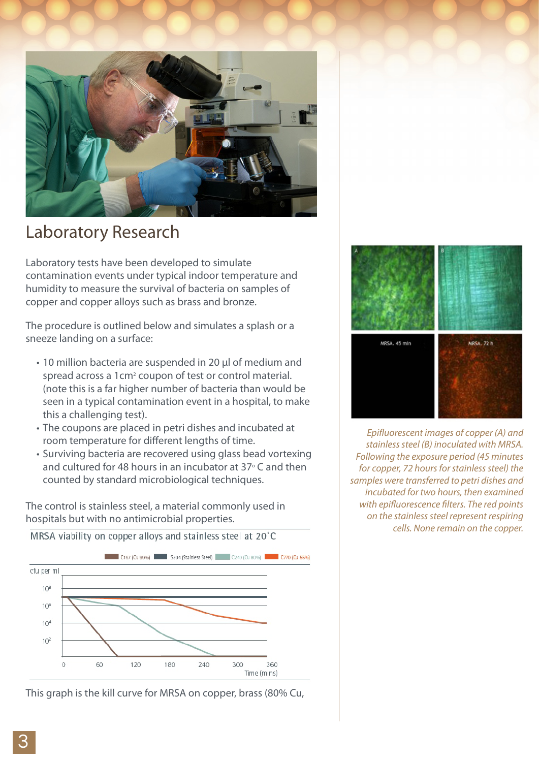

#### Laboratory Research

Laboratory tests have been developed to simulate contamination events under typical indoor temperature and humidity to measure the survival of bacteria on samples of copper and copper alloys such as brass and bronze.

The procedure is outlined below and simulates a splash or a sneeze landing on a surface:

- 10 million bacteria are suspended in 20 μl of medium and spread across a 1cm<sup>2</sup> coupon of test or control material. (note this is a far higher number of bacteria than would be seen in a typical contamination event in a hospital, to make this a challenging test).
- The coupons are placed in petri dishes and incubated at room temperature for different lengths of time.
- Surviving bacteria are recovered using glass bead vortexing and cultured for 48 hours in an incubator at  $37^{\circ}$  C and then counted by standard microbiological techniques.

The control is stainless steel, a material commonly used in hospitals but with no antimicrobial properties.



This graph is the kill curve for MRSA on copper, brass (80% Cu,



*Epifluorescent images of copper (A) and stainless steel (B) inoculated with MRSA. Following the exposure period (45 minutes for copper, 72 hours for stainless steel) the samples were transferred to petri dishes and incubated for two hours, then examined with epifluorescence filters. The red points on the stainless steel represent respiring cells. None remain on the copper.*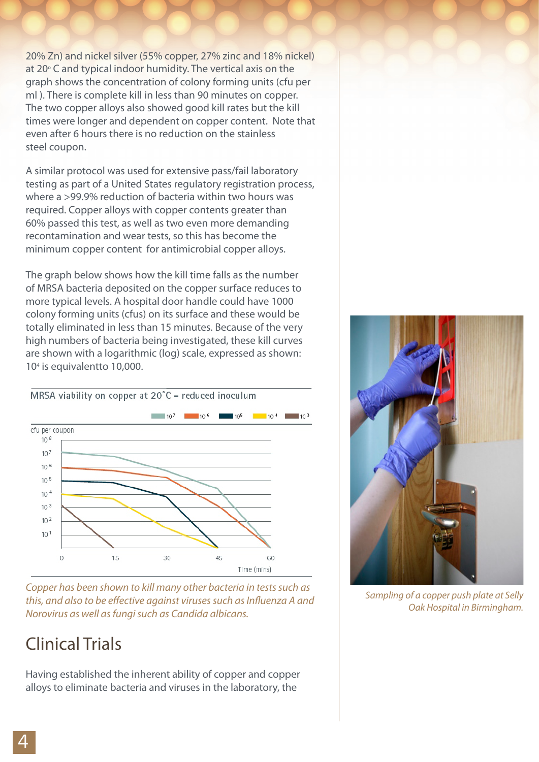20% Zn) and nickel silver (55% copper, 27% zinc and 18% nickel) at 20° C and typical indoor humidity. The vertical axis on the graph shows the concentration of colony forming units (cfu per ml ). There is complete kill in less than 90 minutes on copper. The two copper alloys also showed good kill rates but the kill times were longer and dependent on copper content. Note that even after 6 hours there is no reduction on the stainless steel coupon.

A similar protocol was used for extensive pass/fail laboratory testing as part of a United States regulatory registration process, where a >99.9% reduction of bacteria within two hours was required. Copper alloys with copper contents greater than 60% passed this test, as well as two even more demanding recontamination and wear tests, so this has become the minimum copper content for antimicrobial copper alloys.

The graph below shows how the kill time falls as the number of MRSA bacteria deposited on the copper surface reduces to more typical levels. A hospital door handle could have 1000 colony forming units (cfus) on its surface and these would be totally eliminated in less than 15 minutes. Because of the very high numbers of bacteria being investigated, these kill curves are shown with a logarithmic (log) scale, expressed as shown: 104 is equivalentto 10,000.

MRSA viability on copper at 20°C - reduced inoculum



*Copper has been shown to kill many other bacteria in tests such as this, and also to be effective against viruses such as Influenza A and Norovirus as well as fungi such as Candida albicans.*

## Clinical Trials

Having established the inherent ability of copper and copper alloys to eliminate bacteria and viruses in the laboratory, the



*Sampling of a copper push plate at Selly Oak Hospital in Birmingham.*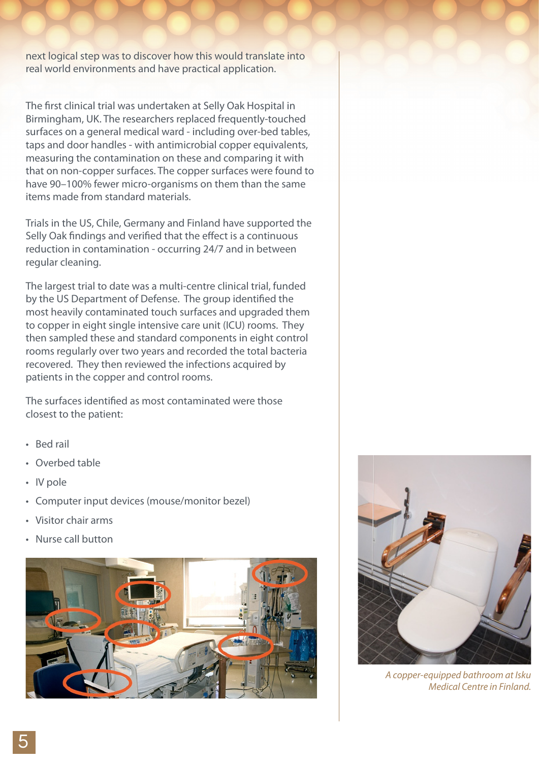next logical step was to discover how this would translate into real world environments and have practical application.

The first clinical trial was undertaken at Selly Oak Hospital in Birmingham, UK. The researchers replaced frequently-touched surfaces on a general medical ward - including over-bed tables, taps and door handles - with antimicrobial copper equivalents, measuring the contamination on these and comparing it with that on non-copper surfaces. The copper surfaces were found to have 90–100% fewer micro-organisms on them than the same items made from standard materials.

Trials in the US, Chile, Germany and Finland have supported the Selly Oak findings and verified that the effect is a continuous reduction in contamination - occurring 24/7 and in between regular cleaning.

The largest trial to date was a multi-centre clinical trial, funded by the US Department of Defense. The group identified the most heavily contaminated touch surfaces and upgraded them to copper in eight single intensive care unit (ICU) rooms. They then sampled these and standard components in eight control rooms regularly over two years and recorded the total bacteria recovered. They then reviewed the infections acquired by patients in the copper and control rooms.

The surfaces identified as most contaminated were those closest to the patient:

- • Bed rail
- • Overbed table
- • IV pole
- • Computer input devices (mouse/monitor bezel)
- Visitor chair arms
- Nurse call button





*A copper-equipped bathroom at Isku Medical Centre in Finland.*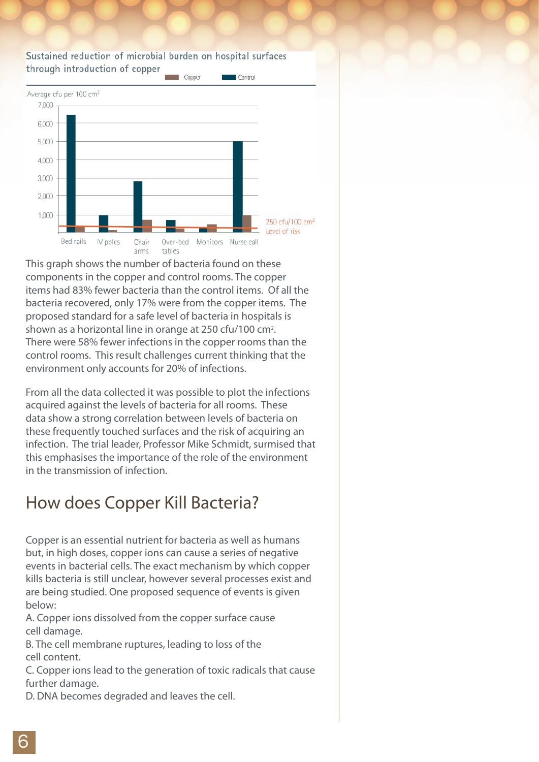#### Sustained reduction of microbial burden on hospital surfaces through introduction of copper



This graph shows the number of bacteria found on these components in the copper and control rooms. The copper items had 83% fewer bacteria than the control items. Of all the bacteria recovered, only 17% were from the copper items. The proposed standard for a safe level of bacteria in hospitals is shown as a horizontal line in orange at 250 cfu/100 cm<sup>2</sup>. There were 58% fewer infections in the copper rooms than the control rooms. This result challenges current thinking that the environment only accounts for 20% of infections.

From all the data collected it was possible to plot the infections acquired against the levels of bacteria for all rooms. These data show a strong correlation between levels of bacteria on these frequently touched surfaces and the risk of acquiring an infection. The trial leader, Professor Mike Schmidt, surmised that this emphasises the importance of the role of the environment in the transmission of infection.

## How does Copper Kill Bacteria?

Copper is an essential nutrient for bacteria as well as humans but, in high doses, copper ions can cause a series of negative events in bacterial cells. The exact mechanism by which copper kills bacteria is still unclear, however several processes exist and are being studied. One proposed sequence of events is given below:

A. Copper ions dissolved from the copper surface cause cell damage.

B. The cell membrane ruptures, leading to loss of the cell content.

C. Copper ions lead to the generation of toxic radicals that cause further damage.

D. DNA becomes degraded and leaves the cell.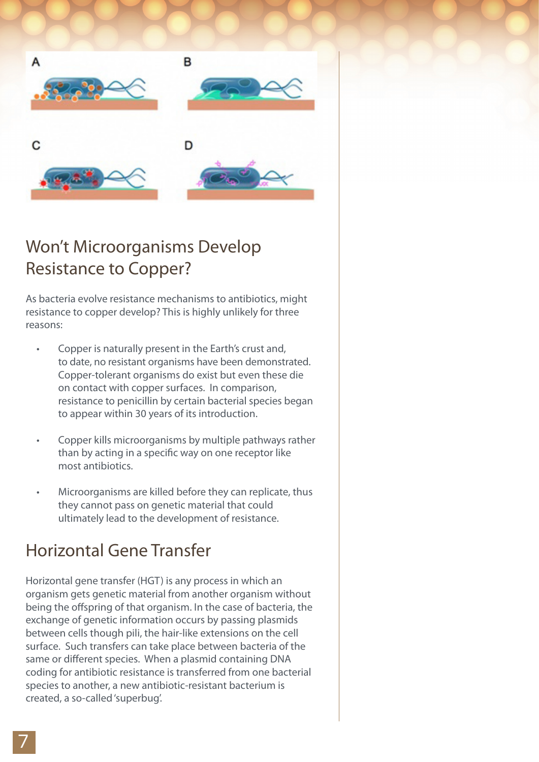







## Won't Microorganisms Develop Resistance to Copper?

As bacteria evolve resistance mechanisms to antibiotics, might resistance to copper develop? This is highly unlikely for three reasons:

- Copper is naturally present in the Earth's crust and, to date, no resistant organisms have been demonstrated. Copper-tolerant organisms do exist but even these die on contact with copper surfaces. In comparison, resistance to penicillin by certain bacterial species began to appear within 30 years of its introduction.
- Copper kills microorganisms by multiple pathways rather than by acting in a specific way on one receptor like most antibiotics.
- Microorganisms are killed before they can replicate, thus they cannot pass on genetic material that could ultimately lead to the development of resistance.

# Horizontal Gene Transfer

Horizontal gene transfer (HGT) is any process in which an organism gets genetic material from another organism without being the offspring of that organism. In the case of bacteria, the exchange of genetic information occurs by passing plasmids between cells though pili, the hair-like extensions on the cell surface. Such transfers can take place between bacteria of the same or different species. When a plasmid containing DNA coding for antibiotic resistance is transferred from one bacterial species to another, a new antibiotic-resistant bacterium is created, a so-called 'superbug'.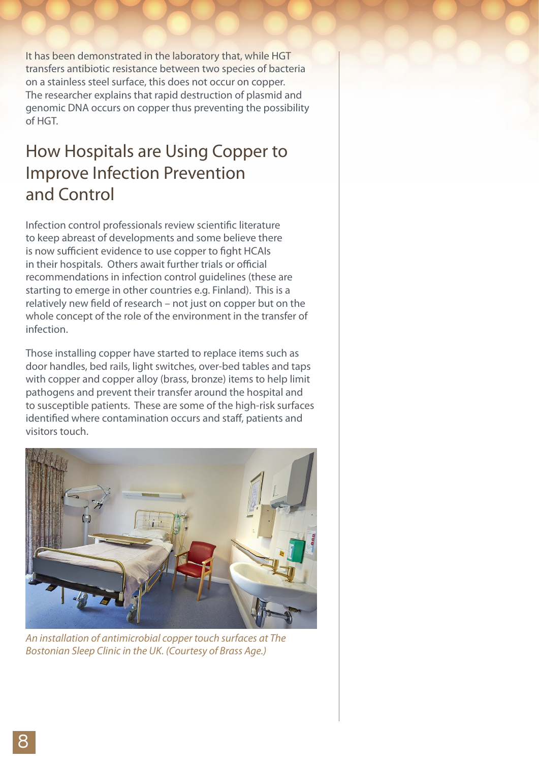It has been demonstrated in the laboratory that, while HGT transfers antibiotic resistance between two species of bacteria on a stainless steel surface, this does not occur on copper. The researcher explains that rapid destruction of plasmid and genomic DNA occurs on copper thus preventing the possibility of HGT.

#### How Hospitals are Using Copper to Improve Infection Prevention and Control

Infection control professionals review scientific literature to keep abreast of developments and some believe there is now sufficient evidence to use copper to fight HCAIs in their hospitals. Others await further trials or official recommendations in infection control guidelines (these are starting to emerge in other countries e.g. Finland). This is a relatively new field of research – not just on copper but on the whole concept of the role of the environment in the transfer of infection.

Those installing copper have started to replace items such as door handles, bed rails, light switches, over-bed tables and taps with copper and copper alloy (brass, bronze) items to help limit pathogens and prevent their transfer around the hospital and to susceptible patients. These are some of the high-risk surfaces identified where contamination occurs and staff, patients and visitors touch.



*An installation of antimicrobial copper touch surfaces at The Bostonian Sleep Clinic in the UK. (Courtesy of Brass Age.)*